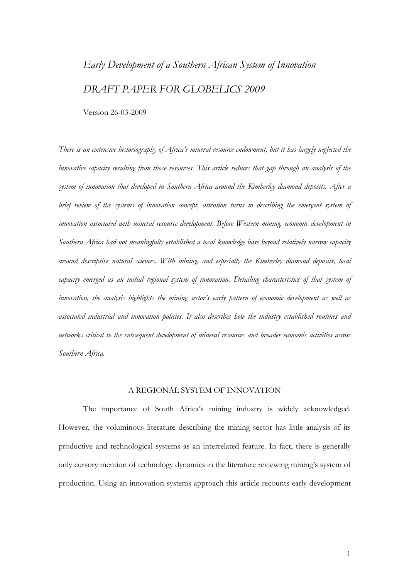# *Early Development of a Southern African System of Innovation DRAFT PAPER FOR GLOBELICS 2009*

Version 26-03-2009

*There is an extensive historiography of Africa's mineral resource endowment, but it has largely neglected the innovative capacity resulting from those resources. This article reduces that gap through an analysis of the system of innovation that developed in Southern Africa around the Kimberley diamond deposits. After a brief review of the systems of innovation concept, attention turns to describing the emergent system of innovation associated with mineral resource development. Before Western mining, economic development in Southern Africa had not meaningfully established a local knowledge base beyond relatively narrow capacity around descriptive natural sciences. With mining, and especially the Kimberley diamond deposits, local capacity emerged as an initial regional system of innovation. Detailing characteristics of that system of innovation, the analysis highlights the mining sector's early pattern of economic development as well as associated industrial and innovation policies. It also describes how the industry established routines and networks critical to the subsequent development of mineral resources and broader economic activities across Southern Africa.* 

#### A REGIONAL SYSTEM OF INNOVATION

The importance of South Africa's mining industry is widely acknowledged. However, the voluminous literature describing the mining sector has little analysis of its productive and technological systems as an interrelated feature. In fact, there is generally only cursory mention of technology dynamics in the literature reviewing mining's system of production. Using an innovation systems approach this article recounts early development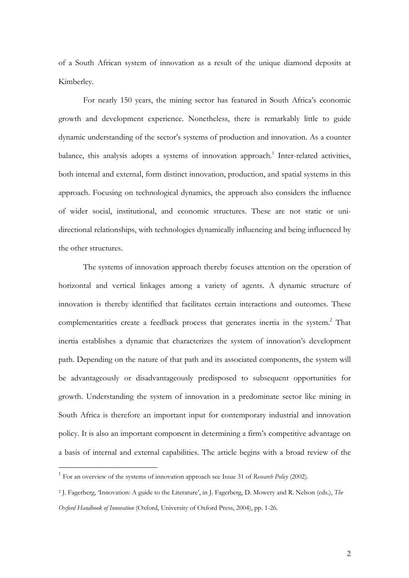of a South African system of innovation as a result of the unique diamond deposits at Kimberley.

For nearly 150 years, the mining sector has featured in South Africa's economic growth and development experience. Nonetheless, there is remarkably little to guide dynamic understanding of the sector's systems of production and innovation. As a counter balance, this analysis adopts a systems of innovation approach.<sup>1</sup> Inter-related activities, both internal and external, form distinct innovation, production, and spatial systems in this approach. Focusing on technological dynamics, the approach also considers the influence of wider social, institutional, and economic structures. These are not static or unidirectional relationships, with technologies dynamically influencing and being influenced by the other structures.

The systems of innovation approach thereby focuses attention on the operation of horizontal and vertical linkages among a variety of agents. A dynamic structure of innovation is thereby identified that facilitates certain interactions and outcomes. These complementarities create a feedback process that generates inertia in the system.<sup>2</sup> That inertia establishes a dynamic that characterizes the system of innovation's development path. Depending on the nature of that path and its associated components, the system will be advantageously or disadvantageously predisposed to subsequent opportunities for growth. Understanding the system of innovation in a predominate sector like mining in South Africa is therefore an important input for contemporary industrial and innovation policy. It is also an important component in determining a firm's competitive advantage on a basis of internal and external capabilities. The article begins with a broad review of the

<sup>1</sup> For an overview of the systems of innovation approach see Issue 31 of *Research Policy* (2002).

<sup>2</sup> J. Fagerberg, 'Innovation: A guide to the Literature', in J. Fagerberg, D. Mowery and R. Nelson (eds.), *The Oxford Handbook of Innovation* (Oxford, University of Oxford Press, 2004), pp. 1-26.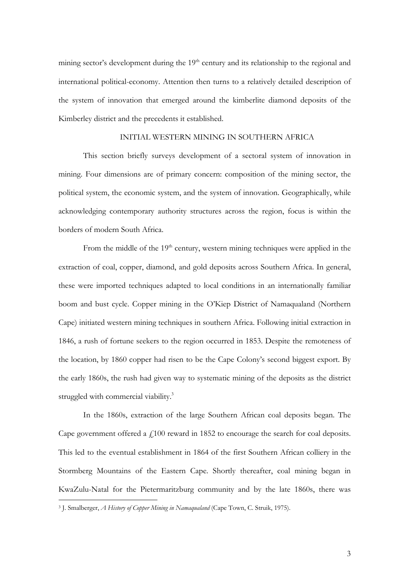mining sector's development during the  $19<sup>th</sup>$  century and its relationship to the regional and international political-economy. Attention then turns to a relatively detailed description of the system of innovation that emerged around the kimberlite diamond deposits of the Kimberley district and the precedents it established.

#### INITIAL WESTERN MINING IN SOUTHERN AFRICA

 This section briefly surveys development of a sectoral system of innovation in mining. Four dimensions are of primary concern: composition of the mining sector, the political system, the economic system, and the system of innovation. Geographically, while acknowledging contemporary authority structures across the region, focus is within the borders of modern South Africa.

From the middle of the  $19<sup>th</sup>$  century, western mining techniques were applied in the extraction of coal, copper, diamond, and gold deposits across Southern Africa. In general, these were imported techniques adapted to local conditions in an internationally familiar boom and bust cycle. Copper mining in the O'Kiep District of Namaqualand (Northern Cape) initiated western mining techniques in southern Africa. Following initial extraction in 1846, a rush of fortune seekers to the region occurred in 1853. Despite the remoteness of the location, by 1860 copper had risen to be the Cape Colony's second biggest export. By the early 1860s, the rush had given way to systematic mining of the deposits as the district struggled with commercial viability.<sup>3</sup>

In the 1860s, extraction of the large Southern African coal deposits began. The Cape government offered a  $\mu$ 100 reward in 1852 to encourage the search for coal deposits. This led to the eventual establishment in 1864 of the first Southern African colliery in the Stormberg Mountains of the Eastern Cape. Shortly thereafter, coal mining began in KwaZulu-Natal for the Pietermaritzburg community and by the late 1860s, there was

<sup>3</sup> J. Smalberger, *A History of Copper Mining in Namaqualand* (Cape Town, C. Struik, 1975).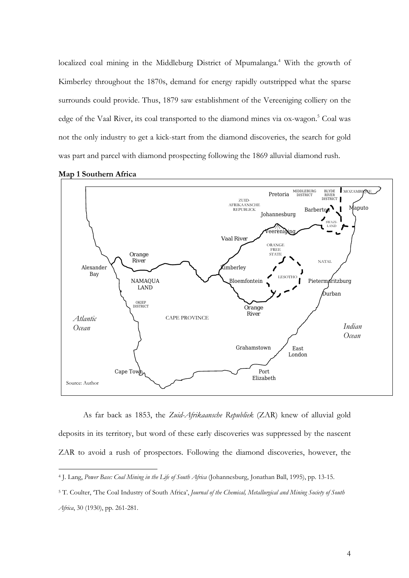localized coal mining in the Middleburg District of Mpumalanga.<sup>4</sup> With the growth of Kimberley throughout the 1870s, demand for energy rapidly outstripped what the sparse surrounds could provide. Thus, 1879 saw establishment of the Vereeniging colliery on the edge of the Vaal River, its coal transported to the diamond mines via ox-wagon.<sup>5</sup> Coal was not the only industry to get a kick-start from the diamond discoveries, the search for gold was part and parcel with diamond prospecting following the 1869 alluvial diamond rush.



**Map 1 Southern Africa** 

 $\overline{a}$ 

As far back as 1853, the *Zuid-Afrikaansche Republiek* (ZAR) knew of alluvial gold deposits in its territory, but word of these early discoveries was suppressed by the nascent ZAR to avoid a rush of prospectors. Following the diamond discoveries, however, the

<sup>4</sup> J. Lang, *Power Base: Coal Mining in the Life of South Africa* (Johannesburg, Jonathan Ball, 1995), pp. 13-15.

<sup>5</sup> T. Coulter, 'The Coal Industry of South Africa', *Journal of the Chemical, Metallurgical and Mining Society of South Africa*, 30 (1930), pp. 261-281.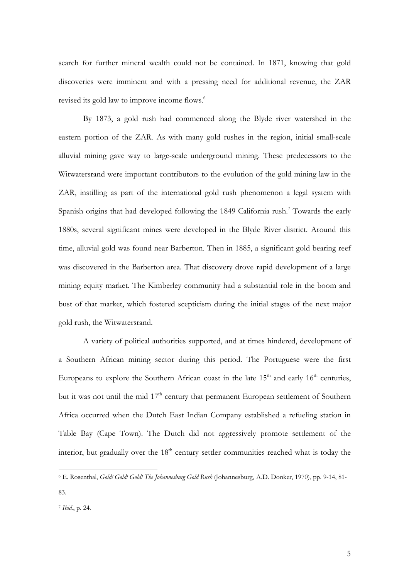search for further mineral wealth could not be contained. In 1871, knowing that gold discoveries were imminent and with a pressing need for additional revenue, the ZAR revised its gold law to improve income flows.<sup>6</sup>

By 1873, a gold rush had commenced along the Blyde river watershed in the eastern portion of the ZAR. As with many gold rushes in the region, initial small-scale alluvial mining gave way to large-scale underground mining. These predecessors to the Witwatersrand were important contributors to the evolution of the gold mining law in the ZAR, instilling as part of the international gold rush phenomenon a legal system with Spanish origins that had developed following the 1849 California rush.<sup>7</sup> Towards the early 1880s, several significant mines were developed in the Blyde River district. Around this time, alluvial gold was found near Barberton. Then in 1885, a significant gold bearing reef was discovered in the Barberton area. That discovery drove rapid development of a large mining equity market. The Kimberley community had a substantial role in the boom and bust of that market, which fostered scepticism during the initial stages of the next major gold rush, the Witwatersrand.

A variety of political authorities supported, and at times hindered, development of a Southern African mining sector during this period. The Portuguese were the first Europeans to explore the Southern African coast in the late  $15<sup>th</sup>$  and early  $16<sup>th</sup>$  centuries, but it was not until the mid 17<sup>th</sup> century that permanent European settlement of Southern Africa occurred when the Dutch East Indian Company established a refueling station in Table Bay (Cape Town). The Dutch did not aggressively promote settlement of the interior, but gradually over the  $18<sup>th</sup>$  century settler communities reached what is today the

<sup>6</sup> E. Rosenthal, *Gold! Gold! Gold! The Johannesburg Gold Rush* (Johannesburg, A.D. Donker, 1970), pp. 9-14, 81- 83.

<sup>7</sup> *Ibid.*, p. 24.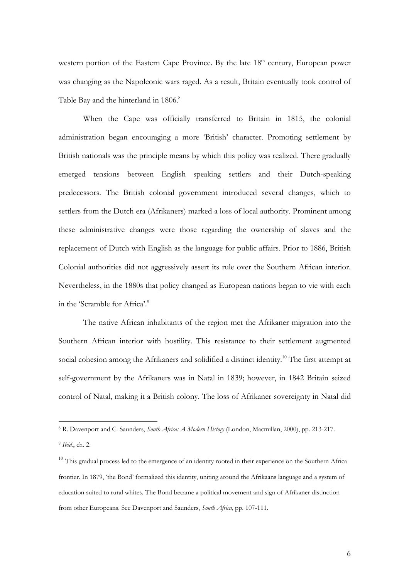western portion of the Eastern Cape Province. By the late  $18<sup>th</sup>$  century, European power was changing as the Napoleonic wars raged. As a result, Britain eventually took control of Table Bay and the hinterland in 1806.<sup>8</sup>

When the Cape was officially transferred to Britain in 1815, the colonial administration began encouraging a more 'British' character. Promoting settlement by British nationals was the principle means by which this policy was realized. There gradually emerged tensions between English speaking settlers and their Dutch-speaking predecessors. The British colonial government introduced several changes, which to settlers from the Dutch era (Afrikaners) marked a loss of local authority. Prominent among these administrative changes were those regarding the ownership of slaves and the replacement of Dutch with English as the language for public affairs. Prior to 1886, British Colonial authorities did not aggressively assert its rule over the Southern African interior. Nevertheless, in the 1880s that policy changed as European nations began to vie with each in the 'Scramble for Africa'.<sup>9</sup>

The native African inhabitants of the region met the Afrikaner migration into the Southern African interior with hostility. This resistance to their settlement augmented social cohesion among the Afrikaners and solidified a distinct identity.<sup>10</sup> The first attempt at self-government by the Afrikaners was in Natal in 1839; however, in 1842 Britain seized control of Natal, making it a British colony. The loss of Afrikaner sovereignty in Natal did

<sup>8</sup> R. Davenport and C. Saunders, *South Africa: A Modern History* (London, Macmillan, 2000), pp. 213-217.

<sup>9</sup> *Ibid.*, ch. 2.

<sup>&</sup>lt;sup>10</sup> This gradual process led to the emergence of an identity rooted in their experience on the Southern Africa frontier. In 1879, 'the Bond' formalized this identity, uniting around the Afrikaans language and a system of education suited to rural whites. The Bond became a political movement and sign of Afrikaner distinction from other Europeans. See Davenport and Saunders, *South Africa*, pp. 107-111.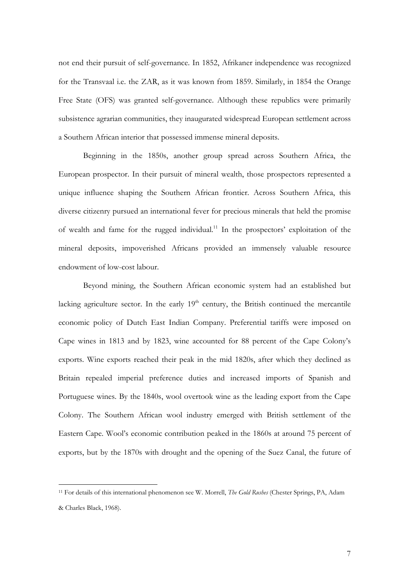not end their pursuit of self-governance. In 1852, Afrikaner independence was recognized for the Transvaal i.e. the ZAR, as it was known from 1859. Similarly, in 1854 the Orange Free State (OFS) was granted self-governance. Although these republics were primarily subsistence agrarian communities, they inaugurated widespread European settlement across a Southern African interior that possessed immense mineral deposits.

Beginning in the 1850s, another group spread across Southern Africa, the European prospector. In their pursuit of mineral wealth, those prospectors represented a unique influence shaping the Southern African frontier. Across Southern Africa, this diverse citizenry pursued an international fever for precious minerals that held the promise of wealth and fame for the rugged individual.<sup>11</sup> In the prospectors' exploitation of the mineral deposits, impoverished Africans provided an immensely valuable resource endowment of low-cost labour.

Beyond mining, the Southern African economic system had an established but lacking agriculture sector. In the early  $19<sup>th</sup>$  century, the British continued the mercantile economic policy of Dutch East Indian Company. Preferential tariffs were imposed on Cape wines in 1813 and by 1823, wine accounted for 88 percent of the Cape Colony's exports. Wine exports reached their peak in the mid 1820s, after which they declined as Britain repealed imperial preference duties and increased imports of Spanish and Portuguese wines. By the 1840s, wool overtook wine as the leading export from the Cape Colony. The Southern African wool industry emerged with British settlement of the Eastern Cape. Wool's economic contribution peaked in the 1860s at around 75 percent of exports, but by the 1870s with drought and the opening of the Suez Canal, the future of

<sup>11</sup> For details of this international phenomenon see W. Morrell, *The Gold Rushes* (Chester Springs, PA, Adam & Charles Black, 1968).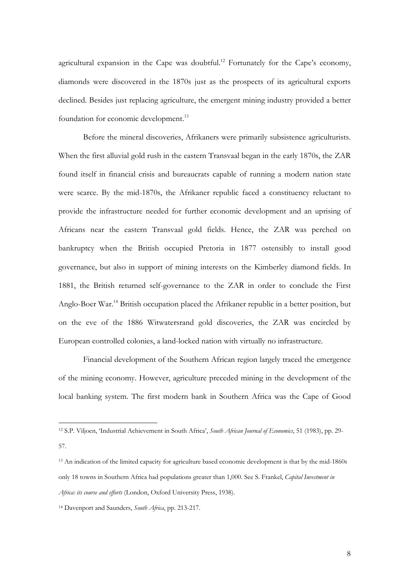agricultural expansion in the Cape was doubtful.<sup>12</sup> Fortunately for the Cape's economy, diamonds were discovered in the 1870s just as the prospects of its agricultural exports declined. Besides just replacing agriculture, the emergent mining industry provided a better foundation for economic development.<sup>13</sup>

Before the mineral discoveries, Afrikaners were primarily subsistence agriculturists. When the first alluvial gold rush in the eastern Transvaal began in the early 1870s, the ZAR found itself in financial crisis and bureaucrats capable of running a modern nation state were scarce. By the mid-1870s, the Afrikaner republic faced a constituency reluctant to provide the infrastructure needed for further economic development and an uprising of Africans near the eastern Transvaal gold fields. Hence, the ZAR was perched on bankruptcy when the British occupied Pretoria in 1877 ostensibly to install good governance, but also in support of mining interests on the Kimberley diamond fields. In 1881, the British returned self-governance to the ZAR in order to conclude the First Anglo-Boer War.<sup>14</sup> British occupation placed the Afrikaner republic in a better position, but on the eve of the 1886 Witwatersrand gold discoveries, the ZAR was encircled by European controlled colonies, a land-locked nation with virtually no infrastructure.

Financial development of the Southern African region largely traced the emergence of the mining economy. However, agriculture preceded mining in the development of the local banking system. The first modern bank in Southern Africa was the Cape of Good

<sup>12</sup> S.P. Viljoen, 'Industrial Achievement in South Africa', *South African Journal of Economics*, 51 (1983), pp. 29- 57.

<sup>13</sup> An indication of the limited capacity for agriculture based economic development is that by the mid-1860s only 18 towns in Southern Africa had populations greater than 1,000. See S. Frankel, *Capital Investment in Africa: its course and efforts* (London, Oxford University Press, 1938).

<sup>14</sup> Davenport and Saunders, *South Africa*, pp. 213-217.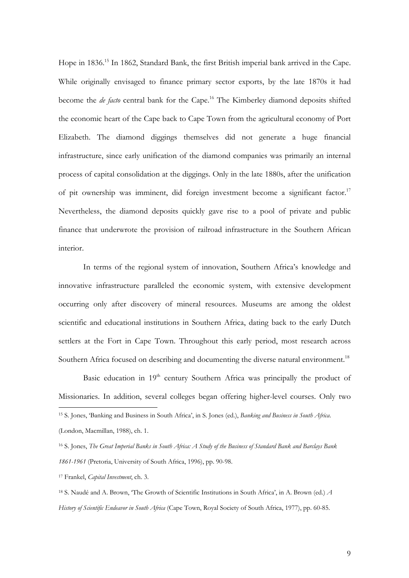Hope in 1836.<sup>15</sup> In 1862, Standard Bank, the first British imperial bank arrived in the Cape. While originally envisaged to finance primary sector exports, by the late 1870s it had become the *de facto* central bank for the Cape.<sup>16</sup> The Kimberley diamond deposits shifted the economic heart of the Cape back to Cape Town from the agricultural economy of Port Elizabeth. The diamond diggings themselves did not generate a huge financial infrastructure, since early unification of the diamond companies was primarily an internal process of capital consolidation at the diggings. Only in the late 1880s, after the unification of pit ownership was imminent, did foreign investment become a significant factor.17 Nevertheless, the diamond deposits quickly gave rise to a pool of private and public finance that underwrote the provision of railroad infrastructure in the Southern African interior.

In terms of the regional system of innovation, Southern Africa's knowledge and innovative infrastructure paralleled the economic system, with extensive development occurring only after discovery of mineral resources. Museums are among the oldest scientific and educational institutions in Southern Africa, dating back to the early Dutch settlers at the Fort in Cape Town. Throughout this early period, most research across Southern Africa focused on describing and documenting the diverse natural environment.<sup>18</sup>

Basic education in 19<sup>th</sup> century Southern Africa was principally the product of Missionaries. In addition, several colleges began offering higher-level courses. Only two  $\overline{a}$ 

<sup>15</sup> S. Jones, 'Banking and Business in South Africa', in S. Jones (ed.), *Banking and Business in South Africa*.

<sup>(</sup>London, Macmillan, 1988), ch. 1.

<sup>16</sup> S. Jones, *The Great Imperial Banks in South Africa: A Study of the Business of Standard Bank and Barclays Bank 1861-1961* (Pretoria, University of South Africa, 1996), pp. 90-98.

<sup>17</sup> Frankel, *Capital Investment*, ch. 3.

<sup>18</sup> S. Naudé and A. Brown, 'The Growth of Scientific Institutions in South Africa', in A. Brown (ed.) *A History of Scientific Endeavor in South Africa* (Cape Town, Royal Society of South Africa, 1977), pp. 60-85.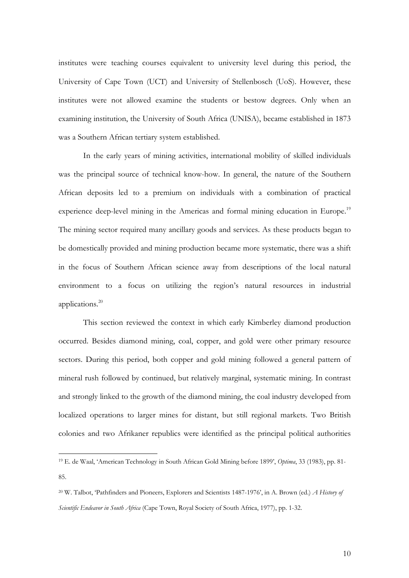institutes were teaching courses equivalent to university level during this period, the University of Cape Town (UCT) and University of Stellenbosch (UoS). However, these institutes were not allowed examine the students or bestow degrees. Only when an examining institution, the University of South Africa (UNISA), became established in 1873 was a Southern African tertiary system established.

In the early years of mining activities, international mobility of skilled individuals was the principal source of technical know-how. In general, the nature of the Southern African deposits led to a premium on individuals with a combination of practical experience deep-level mining in the Americas and formal mining education in Europe.<sup>19</sup> The mining sector required many ancillary goods and services. As these products began to be domestically provided and mining production became more systematic, there was a shift in the focus of Southern African science away from descriptions of the local natural environment to a focus on utilizing the region's natural resources in industrial applications.20

This section reviewed the context in which early Kimberley diamond production occurred. Besides diamond mining, coal, copper, and gold were other primary resource sectors. During this period, both copper and gold mining followed a general pattern of mineral rush followed by continued, but relatively marginal, systematic mining. In contrast and strongly linked to the growth of the diamond mining, the coal industry developed from localized operations to larger mines for distant, but still regional markets. Two British colonies and two Afrikaner republics were identified as the principal political authorities

<sup>19</sup> E. de Waal, 'American Technology in South African Gold Mining before 1899', *Optima*, 33 (1983), pp. 81- 85.

<sup>20</sup> W. Talbot, 'Pathfinders and Pioneers, Explorers and Scientists 1487-1976', in A. Brown (ed.) *A History of Scientific Endeavor in South Africa* (Cape Town, Royal Society of South Africa, 1977), pp. 1-32.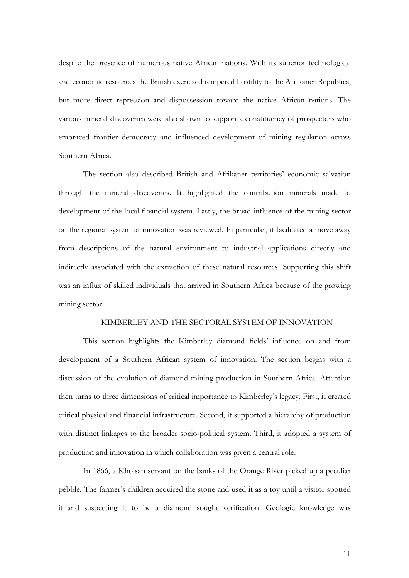despite the presence of numerous native African nations. With its superior technological and economic resources the British exercised tempered hostility to the Afrikaner Republics, but more direct repression and dispossession toward the native African nations. The various mineral discoveries were also shown to support a constituency of prospectors who embraced frontier democracy and influenced development of mining regulation across Southern Africa.

The section also described British and Afrikaner territories' economic salvation through the mineral discoveries. It highlighted the contribution minerals made to development of the local financial system. Lastly, the broad influence of the mining sector on the regional system of innovation was reviewed. In particular, it facilitated a move away from descriptions of the natural environment to industrial applications directly and indirectly associated with the extraction of these natural resources. Supporting this shift was an influx of skilled individuals that arrived in Southern Africa because of the growing mining sector.

### KIMBERLEY AND THE SECTORAL SYSTEM OF INNOVATION

This section highlights the Kimberley diamond fields' influence on and from development of a Southern African system of innovation. The section begins with a discussion of the evolution of diamond mining production in Southern Africa. Attention then turns to three dimensions of critical importance to Kimberley's legacy. First, it created critical physical and financial infrastructure. Second, it supported a hierarchy of production with distinct linkages to the broader socio-political system. Third, it adopted a system of production and innovation in which collaboration was given a central role.

In 1866, a Khoisan servant on the banks of the Orange River picked up a peculiar pebble. The farmer's children acquired the stone and used it as a toy until a visitor spotted it and suspecting it to be a diamond sought verification. Geologic knowledge was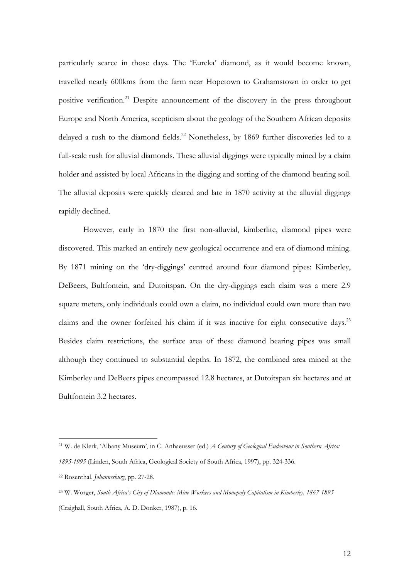particularly scarce in those days. The 'Eureka' diamond, as it would become known, travelled nearly 600kms from the farm near Hopetown to Grahamstown in order to get positive verification.<sup>21</sup> Despite announcement of the discovery in the press throughout Europe and North America, scepticism about the geology of the Southern African deposits delayed a rush to the diamond fields.<sup>22</sup> Nonetheless, by 1869 further discoveries led to a full-scale rush for alluvial diamonds. These alluvial diggings were typically mined by a claim holder and assisted by local Africans in the digging and sorting of the diamond bearing soil. The alluvial deposits were quickly cleared and late in 1870 activity at the alluvial diggings rapidly declined.

However, early in 1870 the first non-alluvial, kimberlite, diamond pipes were discovered. This marked an entirely new geological occurrence and era of diamond mining. By 1871 mining on the 'dry-diggings' centred around four diamond pipes: Kimberley, DeBeers, Bultfontein, and Dutoitspan. On the dry-diggings each claim was a mere 2.9 square meters, only individuals could own a claim, no individual could own more than two claims and the owner forfeited his claim if it was inactive for eight consecutive days.<sup>23</sup> Besides claim restrictions, the surface area of these diamond bearing pipes was small although they continued to substantial depths. In 1872, the combined area mined at the Kimberley and DeBeers pipes encompassed 12.8 hectares, at Dutoitspan six hectares and at Bultfontein 3.2 hectares.

<sup>21</sup> W. de Klerk, 'Albany Museum', in C. Anhaeusser (ed.) *A Century of Geological Endeavour in Southern Africa: 1895-1995* (Linden, South Africa, Geological Society of South Africa, 1997), pp. 324-336.

<sup>22</sup> Rosenthal, *Johannesburg*, pp. 27-28.

<sup>23</sup> W. Worger, *South Africa's City of Diamonds: Mine Workers and Monopoly Capitalism in Kimberley, 1867-1895* (Craighall, South Africa, A. D. Donker, 1987), p. 16.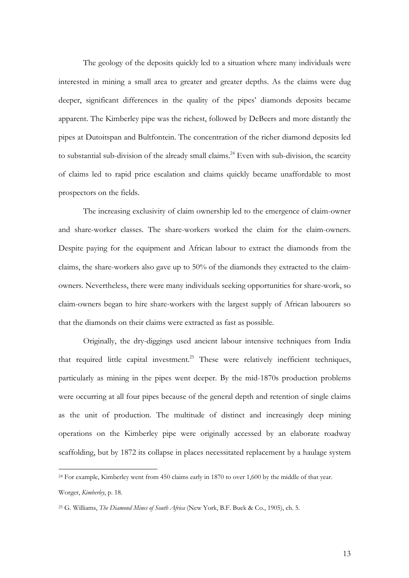The geology of the deposits quickly led to a situation where many individuals were interested in mining a small area to greater and greater depths. As the claims were dug deeper, significant differences in the quality of the pipes' diamonds deposits became apparent. The Kimberley pipe was the richest, followed by DeBeers and more distantly the pipes at Dutoitspan and Bultfontein. The concentration of the richer diamond deposits led to substantial sub-division of the already small claims.<sup>24</sup> Even with sub-division, the scarcity of claims led to rapid price escalation and claims quickly became unaffordable to most prospectors on the fields.

The increasing exclusivity of claim ownership led to the emergence of claim-owner and share-worker classes. The share-workers worked the claim for the claim-owners. Despite paying for the equipment and African labour to extract the diamonds from the claims, the share-workers also gave up to 50% of the diamonds they extracted to the claimowners. Nevertheless, there were many individuals seeking opportunities for share-work, so claim-owners began to hire share-workers with the largest supply of African labourers so that the diamonds on their claims were extracted as fast as possible.

Originally, the dry-diggings used ancient labour intensive techniques from India that required little capital investment.<sup>25</sup> These were relatively inefficient techniques, particularly as mining in the pipes went deeper. By the mid-1870s production problems were occurring at all four pipes because of the general depth and retention of single claims as the unit of production. The multitude of distinct and increasingly deep mining operations on the Kimberley pipe were originally accessed by an elaborate roadway scaffolding, but by 1872 its collapse in places necessitated replacement by a haulage system

<sup>&</sup>lt;sup>24</sup> For example, Kimberley went from 450 claims early in 1870 to over 1,600 by the middle of that year. Worger, *Kimberley*, p. 18.

<sup>25</sup> G. Williams, *The Diamond Mines of South Africa* (New York, B.F. Buck & Co., 1905), ch. 5.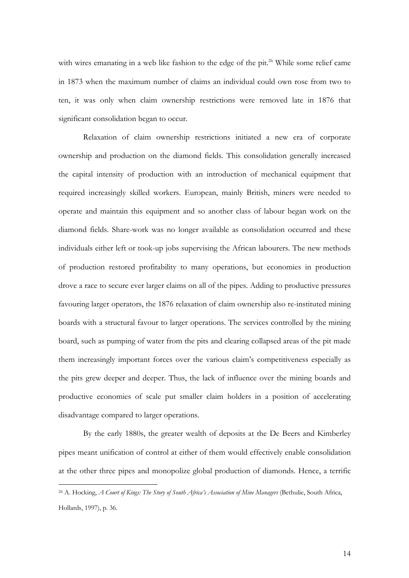with wires emanating in a web like fashion to the edge of the pit.<sup>26</sup> While some relief came in 1873 when the maximum number of claims an individual could own rose from two to ten, it was only when claim ownership restrictions were removed late in 1876 that significant consolidation began to occur.

Relaxation of claim ownership restrictions initiated a new era of corporate ownership and production on the diamond fields. This consolidation generally increased the capital intensity of production with an introduction of mechanical equipment that required increasingly skilled workers. European, mainly British, miners were needed to operate and maintain this equipment and so another class of labour began work on the diamond fields. Share-work was no longer available as consolidation occurred and these individuals either left or took-up jobs supervising the African labourers. The new methods of production restored profitability to many operations, but economies in production drove a race to secure ever larger claims on all of the pipes. Adding to productive pressures favouring larger operators, the 1876 relaxation of claim ownership also re-instituted mining boards with a structural favour to larger operations. The services controlled by the mining board, such as pumping of water from the pits and clearing collapsed areas of the pit made them increasingly important forces over the various claim's competitiveness especially as the pits grew deeper and deeper. Thus, the lack of influence over the mining boards and productive economies of scale put smaller claim holders in a position of accelerating disadvantage compared to larger operations.

By the early 1880s, the greater wealth of deposits at the De Beers and Kimberley pipes meant unification of control at either of them would effectively enable consolidation at the other three pipes and monopolize global production of diamonds. Hence, a terrific

<sup>26</sup> A. Hocking, *A Court of Kings: The Story of South Africa's Association of Mine Managers* (Bethulie, South Africa, Hollards, 1997), p. 36.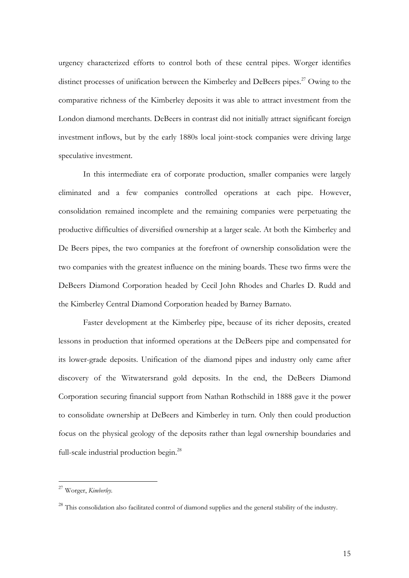urgency characterized efforts to control both of these central pipes. Worger identifies distinct processes of unification between the Kimberley and DeBeers pipes.<sup>27</sup> Owing to the comparative richness of the Kimberley deposits it was able to attract investment from the London diamond merchants. DeBeers in contrast did not initially attract significant foreign investment inflows, but by the early 1880s local joint-stock companies were driving large speculative investment.

In this intermediate era of corporate production, smaller companies were largely eliminated and a few companies controlled operations at each pipe. However, consolidation remained incomplete and the remaining companies were perpetuating the productive difficulties of diversified ownership at a larger scale. At both the Kimberley and De Beers pipes, the two companies at the forefront of ownership consolidation were the two companies with the greatest influence on the mining boards. These two firms were the DeBeers Diamond Corporation headed by Cecil John Rhodes and Charles D. Rudd and the Kimberley Central Diamond Corporation headed by Barney Barnato.

Faster development at the Kimberley pipe, because of its richer deposits, created lessons in production that informed operations at the DeBeers pipe and compensated for its lower-grade deposits. Unification of the diamond pipes and industry only came after discovery of the Witwatersrand gold deposits. In the end, the DeBeers Diamond Corporation securing financial support from Nathan Rothschild in 1888 gave it the power to consolidate ownership at DeBeers and Kimberley in turn. Only then could production focus on the physical geology of the deposits rather than legal ownership boundaries and full-scale industrial production begin.<sup>28</sup>

<sup>27</sup> Worger, *Kimberley*.

 $^{28}$  This consolidation also facilitated control of diamond supplies and the general stability of the industry.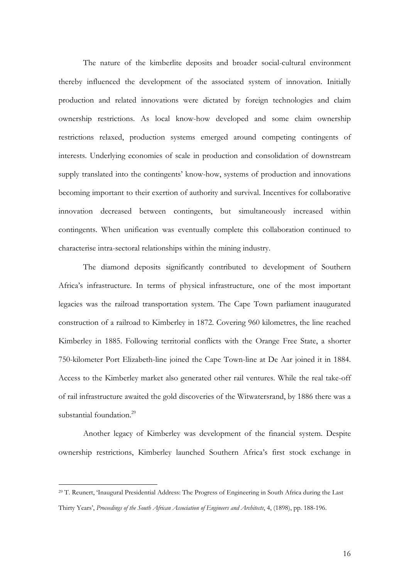The nature of the kimberlite deposits and broader social-cultural environment thereby influenced the development of the associated system of innovation. Initially production and related innovations were dictated by foreign technologies and claim ownership restrictions. As local know-how developed and some claim ownership restrictions relaxed, production systems emerged around competing contingents of interests. Underlying economies of scale in production and consolidation of downstream supply translated into the contingents' know-how, systems of production and innovations becoming important to their exertion of authority and survival. Incentives for collaborative innovation decreased between contingents, but simultaneously increased within contingents. When unification was eventually complete this collaboration continued to characterise intra-sectoral relationships within the mining industry.

The diamond deposits significantly contributed to development of Southern Africa's infrastructure. In terms of physical infrastructure, one of the most important legacies was the railroad transportation system. The Cape Town parliament inaugurated construction of a railroad to Kimberley in 1872. Covering 960 kilometres, the line reached Kimberley in 1885. Following territorial conflicts with the Orange Free State, a shorter 750-kilometer Port Elizabeth-line joined the Cape Town-line at De Aar joined it in 1884. Access to the Kimberley market also generated other rail ventures. While the real take-off of rail infrastructure awaited the gold discoveries of the Witwatersrand, by 1886 there was a substantial foundation.<sup>29</sup>

Another legacy of Kimberley was development of the financial system. Despite ownership restrictions, Kimberley launched Southern Africa's first stock exchange in

<sup>29</sup> T. Reunert, 'Inaugural Presidential Address: The Progress of Engineering in South Africa during the Last Thirty Years', *Proceedings of the South African Association of Engineers and Architects*, 4, (1898), pp. 188-196.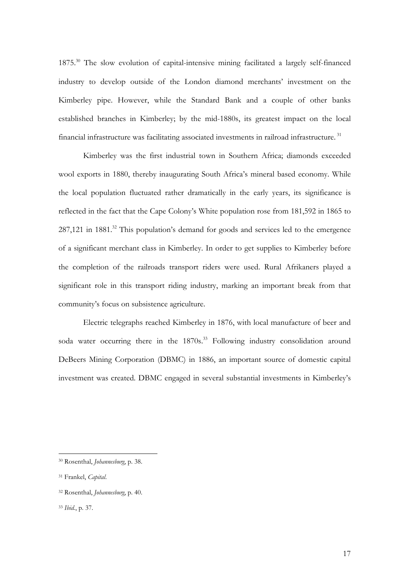1875.30 The slow evolution of capital-intensive mining facilitated a largely self-financed industry to develop outside of the London diamond merchants' investment on the Kimberley pipe. However, while the Standard Bank and a couple of other banks established branches in Kimberley; by the mid-1880s, its greatest impact on the local financial infrastructure was facilitating associated investments in railroad infrastructure. 31

Kimberley was the first industrial town in Southern Africa; diamonds exceeded wool exports in 1880, thereby inaugurating South Africa's mineral based economy. While the local population fluctuated rather dramatically in the early years, its significance is reflected in the fact that the Cape Colony's White population rose from 181,592 in 1865 to  $287,121$  in  $1881<sup>32</sup>$  This population's demand for goods and services led to the emergence of a significant merchant class in Kimberley. In order to get supplies to Kimberley before the completion of the railroads transport riders were used. Rural Afrikaners played a significant role in this transport riding industry, marking an important break from that community's focus on subsistence agriculture.

Electric telegraphs reached Kimberley in 1876, with local manufacture of beer and soda water occurring there in the 1870s.<sup>33</sup> Following industry consolidation around DeBeers Mining Corporation (DBMC) in 1886, an important source of domestic capital investment was created. DBMC engaged in several substantial investments in Kimberley's

<sup>30</sup> Rosenthal, *Johannesburg*, p. 38.

<sup>31</sup> Frankel, *Capital*.

<sup>32</sup> Rosenthal, *Johannesburg*, p. 40.

<sup>33</sup> *Ibid.*, p. 37.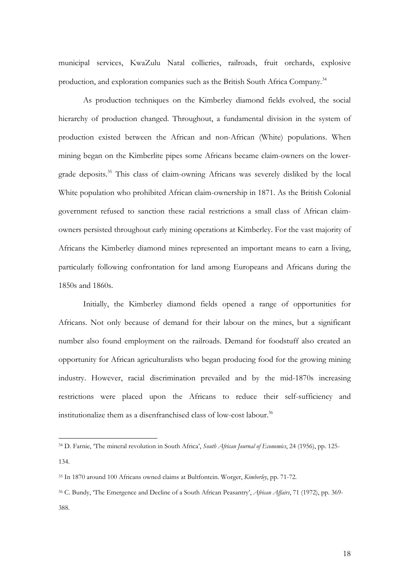municipal services, KwaZulu Natal collieries, railroads, fruit orchards, explosive production, and exploration companies such as the British South Africa Company.<sup>34</sup>

As production techniques on the Kimberley diamond fields evolved, the social hierarchy of production changed. Throughout, a fundamental division in the system of production existed between the African and non-African (White) populations. When mining began on the Kimberlite pipes some Africans became claim-owners on the lowergrade deposits.<sup>35</sup> This class of claim-owning Africans was severely disliked by the local White population who prohibited African claim-ownership in 1871. As the British Colonial government refused to sanction these racial restrictions a small class of African claimowners persisted throughout early mining operations at Kimberley. For the vast majority of Africans the Kimberley diamond mines represented an important means to earn a living, particularly following confrontation for land among Europeans and Africans during the 1850s and 1860s.

Initially, the Kimberley diamond fields opened a range of opportunities for Africans. Not only because of demand for their labour on the mines, but a significant number also found employment on the railroads. Demand for foodstuff also created an opportunity for African agriculturalists who began producing food for the growing mining industry. However, racial discrimination prevailed and by the mid-1870s increasing restrictions were placed upon the Africans to reduce their self-sufficiency and institutionalize them as a disenfranchised class of low-cost labour.<sup>36</sup>

<sup>34</sup> D. Farnie, 'The mineral revolution in South Africa', *South African Journal of Economics*, 24 (1956), pp. 125- 134.

<sup>35</sup> In 1870 around 100 Africans owned claims at Bultfontein. Worger, *Kimberley*, pp. 71-72.

<sup>36</sup> C. Bundy, 'The Emergence and Decline of a South African Peasantry', *African Affairs*, 71 (1972), pp. 369- 388.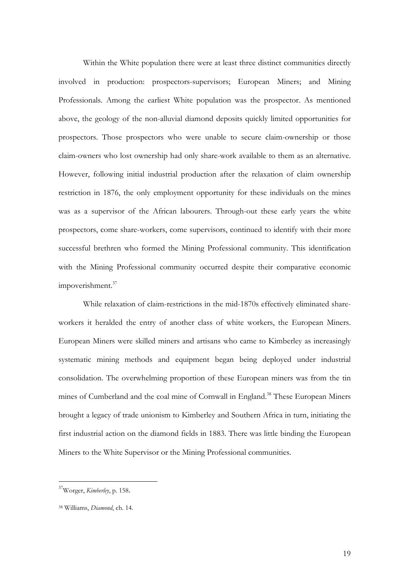Within the White population there were at least three distinct communities directly involved in production: prospectors-supervisors; European Miners; and Mining Professionals. Among the earliest White population was the prospector. As mentioned above, the geology of the non-alluvial diamond deposits quickly limited opportunities for prospectors. Those prospectors who were unable to secure claim-ownership or those claim-owners who lost ownership had only share-work available to them as an alternative. However, following initial industrial production after the relaxation of claim ownership restriction in 1876, the only employment opportunity for these individuals on the mines was as a supervisor of the African labourers. Through-out these early years the white prospectors, come share-workers, come supervisors, continued to identify with their more successful brethren who formed the Mining Professional community. This identification with the Mining Professional community occurred despite their comparative economic impoverishment.<sup>37</sup>

While relaxation of claim-restrictions in the mid-1870s effectively eliminated shareworkers it heralded the entry of another class of white workers, the European Miners. European Miners were skilled miners and artisans who came to Kimberley as increasingly systematic mining methods and equipment began being deployed under industrial consolidation. The overwhelming proportion of these European miners was from the tin mines of Cumberland and the coal mine of Cornwall in England.<sup>38</sup> These European Miners brought a legacy of trade unionism to Kimberley and Southern Africa in turn, initiating the first industrial action on the diamond fields in 1883. There was little binding the European Miners to the White Supervisor or the Mining Professional communities.

<sup>37</sup>Worger, *Kimberley*, p. 158.

<sup>38</sup> Williams, *Diamond*, ch. 14.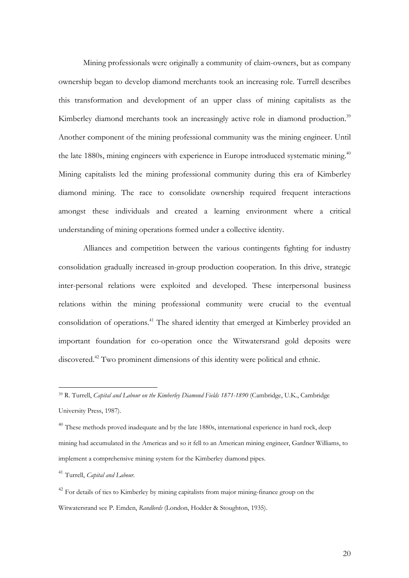Mining professionals were originally a community of claim-owners, but as company ownership began to develop diamond merchants took an increasing role. Turrell describes this transformation and development of an upper class of mining capitalists as the Kimberley diamond merchants took an increasingly active role in diamond production.<sup>39</sup> Another component of the mining professional community was the mining engineer. Until the late 1880s, mining engineers with experience in Europe introduced systematic mining.<sup>40</sup> Mining capitalists led the mining professional community during this era of Kimberley diamond mining. The race to consolidate ownership required frequent interactions amongst these individuals and created a learning environment where a critical understanding of mining operations formed under a collective identity.

Alliances and competition between the various contingents fighting for industry consolidation gradually increased in-group production cooperation. In this drive, strategic inter-personal relations were exploited and developed. These interpersonal business relations within the mining professional community were crucial to the eventual consolidation of operations.<sup>41</sup> The shared identity that emerged at Kimberley provided an important foundation for co-operation once the Witwatersrand gold deposits were discovered.<sup>42</sup> Two prominent dimensions of this identity were political and ethnic.

<sup>41</sup> Turrell, *Capital and Labour.*

<sup>39</sup> R. Turrell, *Capital and Labour on the Kimberley Diamond Fields 1871-1890* (Cambridge, U.K., Cambridge University Press, 1987).

 $40$  These methods proved inadequate and by the late 1880s, international experience in hard rock, deep mining had accumulated in the Americas and so it fell to an American mining engineer, Gardner Williams, to implement a comprehensive mining system for the Kimberley diamond pipes.

 $42$  For details of ties to Kimberley by mining capitalists from major mining-finance group on the Witwatersrand see P. Emden, *Randlords* (London, Hodder & Stoughton, 1935).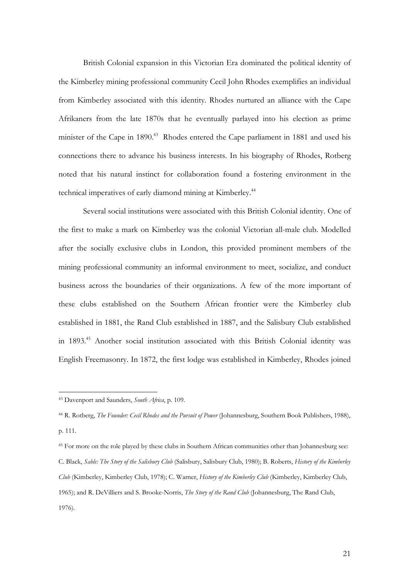British Colonial expansion in this Victorian Era dominated the political identity of the Kimberley mining professional community Cecil John Rhodes exemplifies an individual from Kimberley associated with this identity. Rhodes nurtured an alliance with the Cape Afrikaners from the late 1870s that he eventually parlayed into his election as prime minister of the Cape in  $1890<sup>43</sup>$  Rhodes entered the Cape parliament in 1881 and used his connections there to advance his business interests. In his biography of Rhodes, Rotberg noted that his natural instinct for collaboration found a fostering environment in the technical imperatives of early diamond mining at Kimberley.<sup>44</sup>

Several social institutions were associated with this British Colonial identity. One of the first to make a mark on Kimberley was the colonial Victorian all-male club. Modelled after the socially exclusive clubs in London, this provided prominent members of the mining professional community an informal environment to meet, socialize, and conduct business across the boundaries of their organizations. A few of the more important of these clubs established on the Southern African frontier were the Kimberley club established in 1881, the Rand Club established in 1887, and the Salisbury Club established in 1893.45 Another social institution associated with this British Colonial identity was English Freemasonry. In 1872, the first lodge was established in Kimberley, Rhodes joined

<sup>43</sup> Davenport and Saunders, *South Africa*, p. 109.

<sup>44</sup> R. Rotberg, *The Founder: Cecil Rhodes and the Pursuit of Power* (Johannesburg, Southern Book Publishers, 1988), p. 111.

<sup>&</sup>lt;sup>45</sup> For more on the role played by these clubs in Southern African communities other than Johannesburg see: C. Black, *Sable: The Story of the Salisbury Club* (Salisbury, Salisbury Club, 1980); B. Roberts, *History of the Kimberley Club* (Kimberley, Kimberley Club, 1978); C. Warner, *History of the Kimberley Club* (Kimberley, Kimberley Club, 1965); and R. DeVilliers and S. Brooke-Norris, *The Story of the Rand Club* (Johannesburg, The Rand Club, 1976).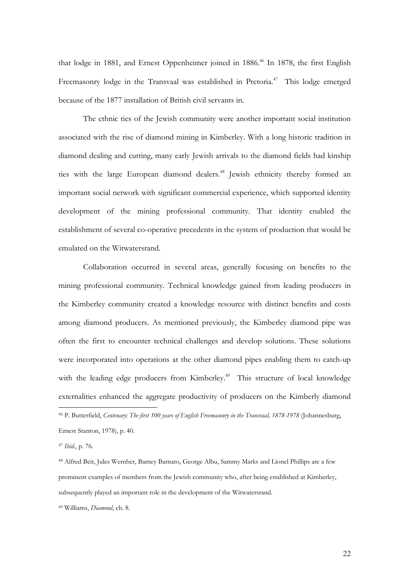that lodge in 1881, and Ernest Oppenheimer joined in 1886.<sup>46</sup> In 1878, the first English Freemasonry lodge in the Transvaal was established in Pretoria.<sup>47</sup> This lodge emerged because of the 1877 installation of British civil servants in.

The ethnic ties of the Jewish community were another important social institution associated with the rise of diamond mining in Kimberley. With a long historic tradition in diamond dealing and cutting, many early Jewish arrivals to the diamond fields had kinship ties with the large European diamond dealers.<sup>48</sup> Jewish ethnicity thereby formed an important social network with significant commercial experience, which supported identity development of the mining professional community. That identity enabled the establishment of several co-operative precedents in the system of production that would be emulated on the Witwatersrand.

Collaboration occurred in several areas, generally focusing on benefits to the mining professional community. Technical knowledge gained from leading producers in the Kimberley community created a knowledge resource with distinct benefits and costs among diamond producers. As mentioned previously, the Kimberley diamond pipe was often the first to encounter technical challenges and develop solutions. These solutions were incorporated into operations at the other diamond pipes enabling them to catch-up with the leading edge producers from Kimberley.<sup>49</sup> This structure of local knowledge externalities enhanced the aggregate productivity of producers on the Kimberly diamond  $\overline{a}$ 

46 P. Butterfield, *Centenary: The first 100 years of English Freemasonry in the Transvaal, 1878-1978* (Johannesburg, Ernest Stanton, 1978), p. 40.

<sup>47</sup> *Ibid.*, p. 76.

48 Alfred Beit, Jules Wernher, Barney Barnato, George Albu, Sammy Marks and Lionel Phillips are a few prominent examples of members from the Jewish community who, after being established at Kimberley, subsequently played an important role in the development of the Witwatersrand.

49 Williams, *Diamond*, ch. 8.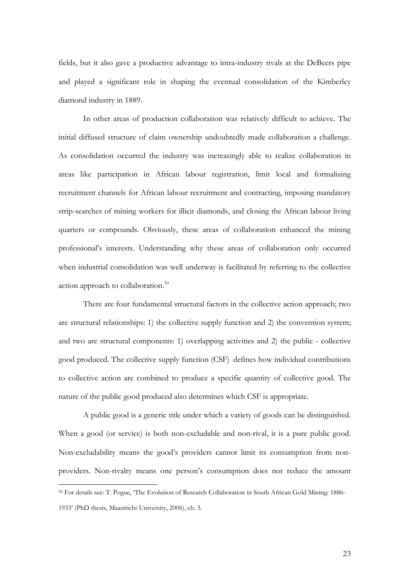fields, but it also gave a productive advantage to intra-industry rivals at the DeBeers pipe and played a significant role in shaping the eventual consolidation of the Kimberley diamond industry in 1889.

In other areas of production collaboration was relatively difficult to achieve. The initial diffused structure of claim ownership undoubtedly made collaboration a challenge. As consolidation occurred the industry was increasingly able to realize collaboration in areas like participation in African labour registration, limit local and formalizing recruitment channels for African labour recruitment and contracting, imposing mandatory strip-searches of mining workers for illicit diamonds, and closing the African labour living quarters or compounds. Obviously, these areas of collaboration enhanced the mining professional's interests. Understanding why these areas of collaboration only occurred when industrial consolidation was well underway is facilitated by referring to the collective action approach to collaboration.<sup>50</sup>

There are four fundamental structural factors in the collective action approach; two are structural relationships: 1) the collective supply function and 2) the convention system; and two are structural components: 1) overlapping activities and 2) the public - collective good produced. The collective supply function (CSF) defines how individual contributions to collective action are combined to produce a specific quantity of collective good. The nature of the public good produced also determines which CSF is appropriate.

A public good is a generic title under which a variety of goods can be distinguished. When a good (or service) is both non-excludable and non-rival, it is a pure public good. Non-excludability means the good's providers cannot limit its consumption from nonproviders. Non-rivalry means one person's consumption does not reduce the amount

<sup>50</sup> For details see: T. Pogue, 'The Evolution of Research Collaboration in South African Gold Mining: 1886- 1933' (PhD thesis, Maastricht University, 2006), ch. 3.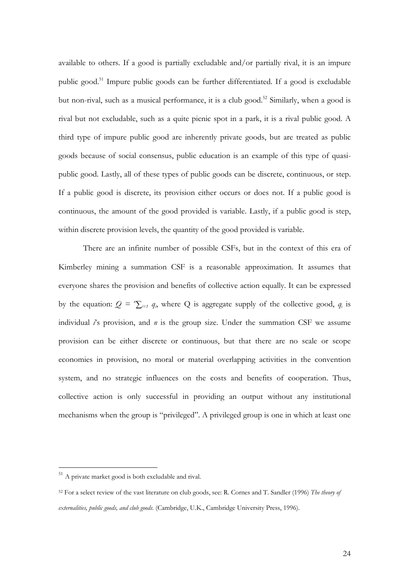available to others. If a good is partially excludable and/or partially rival, it is an impure public good.<sup>51</sup> Impure public goods can be further differentiated. If a good is excludable but non-rival, such as a musical performance, it is a club good.<sup>52</sup> Similarly, when a good is rival but not excludable, such as a quite picnic spot in a park, it is a rival public good. A third type of impure public good are inherently private goods, but are treated as public goods because of social consensus, public education is an example of this type of quasipublic good. Lastly, all of these types of public goods can be discrete, continuous, or step. If a public good is discrete, its provision either occurs or does not. If a public good is continuous, the amount of the good provided is variable. Lastly, if a public good is step, within discrete provision levels, the quantity of the good provided is variable.

There are an infinite number of possible CSFs, but in the context of this era of Kimberley mining a summation CSF is a reasonable approximation. It assumes that everyone shares the provision and benefits of collective action equally. It can be expressed by the equation:  $Q = \sum_{i=1}^{n} q_i$ , where Q is aggregate supply of the collective good,  $q_i$  is individual *i*'s provision, and *n* is the group size. Under the summation CSF we assume provision can be either discrete or continuous, but that there are no scale or scope economies in provision, no moral or material overlapping activities in the convention system, and no strategic influences on the costs and benefits of cooperation. Thus, collective action is only successful in providing an output without any institutional mechanisms when the group is "privileged". A privileged group is one in which at least one

<sup>&</sup>lt;sup>51</sup> A private market good is both excludable and rival.

<sup>52</sup> For a select review of the vast literature on club goods, see: R. Cornes and T. Sandler (1996) *The theory of externalities, public goods, and club goods*. (Cambridge, U.K., Cambridge University Press, 1996).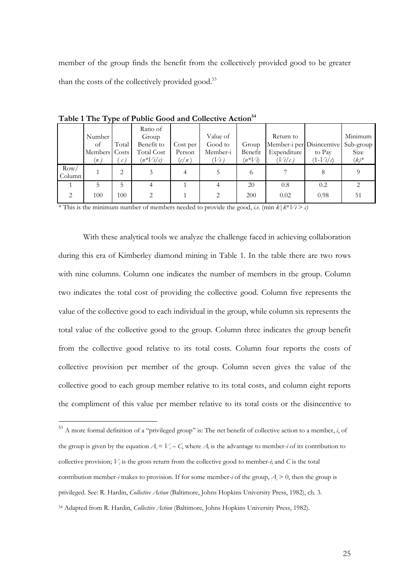member of the group finds the benefit from the collectively provided good to be greater than the costs of the collectively provided good.<sup>53</sup>

|                | J J                                  |                        |                                                               |                             |                                            |                                |                                                                 |                      |                                         |
|----------------|--------------------------------------|------------------------|---------------------------------------------------------------|-----------------------------|--------------------------------------------|--------------------------------|-----------------------------------------------------------------|----------------------|-----------------------------------------|
|                | Number<br>of<br>Members Costs<br>(n) | Total<br>$\mathcal{C}$ | Ratio of<br>Group<br>Benefit to<br>Total Cost<br>$(n^*V_i/c)$ | Cost per<br>Person<br>(c/n) | Value of<br>Good to<br>Member-i<br>$V_i$ ) | Group<br>Benefit<br>$(n^*V_i)$ | Return to<br>Member-i per Disincentive<br>Expenditure<br>(Vi/c) | to Pay<br>$(1-Vi/c)$ | Minimum<br>Sub-group<br>Size<br>$(k)^*$ |
| Row/<br>Column |                                      | 2                      |                                                               |                             |                                            | $^{(1)}$                       |                                                                 |                      |                                         |
|                |                                      | 5                      |                                                               |                             |                                            | 20                             | 0.8                                                             | 0.2                  |                                         |
| $\mathcal{L}$  | 100                                  | 100                    |                                                               |                             |                                            | 200                            | 0.02                                                            | 0.98                 | 51                                      |

Table 1 The Type of Public Good and Collective Action<sup>54</sup>

\* This is the minimum number of members needed to provide the good, *i.e.* (min *k*|*k*\**Vi* > *c)*

With these analytical tools we analyze the challenge faced in achieving collaboration during this era of Kimberley diamond mining in Table 1. In the table there are two rows with nine columns. Column one indicates the number of members in the group. Column two indicates the total cost of providing the collective good. Column five represents the value of the collective good to each individual in the group, while column six represents the total value of the collective good to the group. Column three indicates the group benefit from the collective good relative to its total costs. Column four reports the costs of collective provision per member of the group. Column seven gives the value of the collective good to each group member relative to its total costs, and column eight reports the compliment of this value per member relative to its total costs or the disincentive to

<sup>53</sup> A more formal definition of a "privileged group" is: The net benefit of collective action to a member, *i*, of the group is given by the equation  $A_i = V_i - C$ , where  $A_i$  is the advantage to member-*i* of its contribution to collective provision;  $V_i$  is the gross return from the collective good to member-*i*; and *C* is the total contribution member-*i* makes to provision. If for some member-*i* of the group,  $A_i > 0$ , then the group is privileged. See: R. Hardin, *Collective Action* (Baltimore, Johns Hopkins University Press, 1982), ch. 3. 54 Adapted from R. Hardin, *Collective Action* (Baltimore, Johns Hopkins University Press, 1982).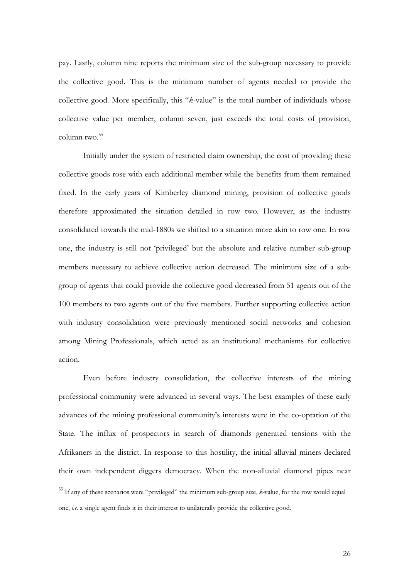pay. Lastly, column nine reports the minimum size of the sub-group necessary to provide the collective good. This is the minimum number of agents needed to provide the collective good. More specifically, this "*k*-value" is the total number of individuals whose collective value per member, column seven, just exceeds the total costs of provision, column two. $55$ 

 Initially under the system of restricted claim ownership, the cost of providing these collective goods rose with each additional member while the benefits from them remained fixed. In the early years of Kimberley diamond mining, provision of collective goods therefore approximated the situation detailed in row two. However, as the industry consolidated towards the mid-1880s we shifted to a situation more akin to row one. In row one, the industry is still not 'privileged' but the absolute and relative number sub-group members necessary to achieve collective action decreased. The minimum size of a subgroup of agents that could provide the collective good decreased from 51 agents out of the 100 members to two agents out of the five members. Further supporting collective action with industry consolidation were previously mentioned social networks and cohesion among Mining Professionals, which acted as an institutional mechanisms for collective action.

Even before industry consolidation, the collective interests of the mining professional community were advanced in several ways. The best examples of these early advances of the mining professional community's interests were in the co-optation of the State. The influx of prospectors in search of diamonds generated tensions with the Afrikaners in the district. In response to this hostility, the initial alluvial miners declared their own independent diggers democracy. When the non-alluvial diamond pipes near

<sup>55</sup> If any of these scenarios were "privileged" the minimum sub-group size, *k-*value, for the row would equal one, *i.e*. a single agent finds it in their interest to unilaterally provide the collective good.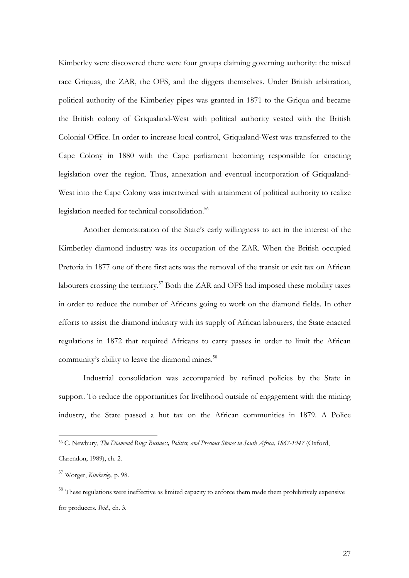Kimberley were discovered there were four groups claiming governing authority: the mixed race Griquas, the ZAR, the OFS, and the diggers themselves. Under British arbitration, political authority of the Kimberley pipes was granted in 1871 to the Griqua and became the British colony of Griqualand-West with political authority vested with the British Colonial Office. In order to increase local control, Griqualand-West was transferred to the Cape Colony in 1880 with the Cape parliament becoming responsible for enacting legislation over the region. Thus, annexation and eventual incorporation of Griqualand-West into the Cape Colony was intertwined with attainment of political authority to realize legislation needed for technical consolidation.<sup>56</sup>

 Another demonstration of the State's early willingness to act in the interest of the Kimberley diamond industry was its occupation of the ZAR. When the British occupied Pretoria in 1877 one of there first acts was the removal of the transit or exit tax on African labourers crossing the territory.<sup>57</sup> Both the ZAR and OFS had imposed these mobility taxes in order to reduce the number of Africans going to work on the diamond fields. In other efforts to assist the diamond industry with its supply of African labourers, the State enacted regulations in 1872 that required Africans to carry passes in order to limit the African community's ability to leave the diamond mines.<sup>58</sup>

Industrial consolidation was accompanied by refined policies by the State in support. To reduce the opportunities for livelihood outside of engagement with the mining industry, the State passed a hut tax on the African communities in 1879. A Police

<sup>56</sup> C. Newbury, *The Diamond Ring: Business, Politics, and Precious Stones in South Africa, 1867-1947* (Oxford, Clarendon, 1989), ch. 2.

<sup>57</sup> Worger, *Kimberley*, p. 98.

<sup>&</sup>lt;sup>58</sup> These regulations were ineffective as limited capacity to enforce them made them prohibitively expensive for producers. *Ibid.*, ch. 3.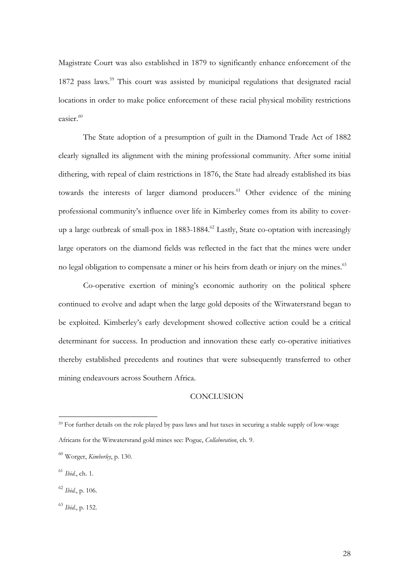Magistrate Court was also established in 1879 to significantly enhance enforcement of the 1872 pass laws.<sup>59</sup> This court was assisted by municipal regulations that designated racial locations in order to make police enforcement of these racial physical mobility restrictions  $e$ asier. $60$ 

The State adoption of a presumption of guilt in the Diamond Trade Act of 1882 clearly signalled its alignment with the mining professional community. After some initial dithering, with repeal of claim restrictions in 1876, the State had already established its bias towards the interests of larger diamond producers.<sup>61</sup> Other evidence of the mining professional community's influence over life in Kimberley comes from its ability to coverup a large outbreak of small-pox in 1883-1884.<sup>62</sup> Lastly, State co-optation with increasingly large operators on the diamond fields was reflected in the fact that the mines were under no legal obligation to compensate a miner or his heirs from death or injury on the mines.<sup>63</sup>

Co-operative exertion of mining's economic authority on the political sphere continued to evolve and adapt when the large gold deposits of the Witwatersrand began to be exploited. Kimberley's early development showed collective action could be a critical determinant for success. In production and innovation these early co-operative initiatives thereby established precedents and routines that were subsequently transferred to other mining endeavours across Southern Africa.

## **CONCLUSION**

<sup>59</sup> For further details on the role played by pass laws and hut taxes in securing a stable supply of low-wage Africans for the Witwatersrand gold mines see: Pogue, *Collaboration*, ch. 9.

<sup>60</sup> Worger, *Kimberley*, p. 130.

<sup>61</sup> *Ibid.*, ch. 1.

<sup>62</sup> *Ibid.*, p. 106.

<sup>63</sup> *Ibid.*, p. 152.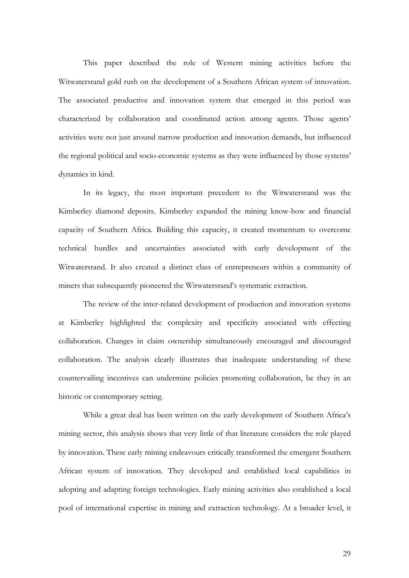This paper described the role of Western mining activities before the Witwatersrand gold rush on the development of a Southern African system of innovation. The associated productive and innovation system that emerged in this period was characterized by collaboration and coordinated action among agents. Those agents' activities were not just around narrow production and innovation demands, but influenced the regional political and socio-economic systems as they were influenced by those systems' dynamics in kind.

In its legacy, the most important precedent to the Witwatersrand was the Kimberley diamond deposits. Kimberley expanded the mining know-how and financial capacity of Southern Africa. Building this capacity, it created momentum to overcome technical hurdles and uncertainties associated with early development of the Witwatersrand. It also created a distinct class of entrepreneurs within a community of miners that subsequently pioneered the Witwatersrand's systematic extraction.

The review of the inter-related development of production and innovation systems at Kimberley highlighted the complexity and specificity associated with effecting collaboration. Changes in claim ownership simultaneously encouraged and discouraged collaboration. The analysis clearly illustrates that inadequate understanding of these countervailing incentives can undermine policies promoting collaboration, be they in an historic or contemporary setting.

While a great deal has been written on the early development of Southern Africa's mining sector, this analysis shows that very little of that literature considers the role played by innovation. These early mining endeavours critically transformed the emergent Southern African system of innovation. They developed and established local capabilities in adopting and adapting foreign technologies. Early mining activities also established a local pool of international expertise in mining and extraction technology. At a broader level, it